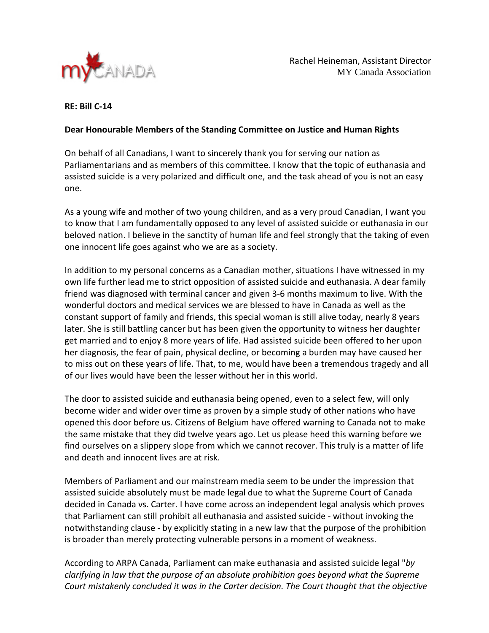

## **RE: Bill C-14**

## **Dear Honourable Members of the Standing Committee on Justice and Human Rights**

On behalf of all Canadians, I want to sincerely thank you for serving our nation as Parliamentarians and as members of this committee. I know that the topic of euthanasia and assisted suicide is a very polarized and difficult one, and the task ahead of you is not an easy one.

As a young wife and mother of two young children, and as a very proud Canadian, I want you to know that I am fundamentally opposed to any level of assisted suicide or euthanasia in our beloved nation. I believe in the sanctity of human life and feel strongly that the taking of even one innocent life goes against who we are as a society.

In addition to my personal concerns as a Canadian mother, situations I have witnessed in my own life further lead me to strict opposition of assisted suicide and euthanasia. A dear family friend was diagnosed with terminal cancer and given 3-6 months maximum to live. With the wonderful doctors and medical services we are blessed to have in Canada as well as the constant support of family and friends, this special woman is still alive today, nearly 8 years later. She is still battling cancer but has been given the opportunity to witness her daughter get married and to enjoy 8 more years of life. Had assisted suicide been offered to her upon her diagnosis, the fear of pain, physical decline, or becoming a burden may have caused her to miss out on these years of life. That, to me, would have been a tremendous tragedy and all of our lives would have been the lesser without her in this world.

The door to assisted suicide and euthanasia being opened, even to a select few, will only become wider and wider over time as proven by a simple study of other nations who have opened this door before us. Citizens of Belgium have offered warning to Canada not to make the same mistake that they did twelve years ago. Let us please heed this warning before we find ourselves on a slippery slope from which we cannot recover. This truly is a matter of life and death and innocent lives are at risk.

Members of Parliament and our mainstream media seem to be under the impression that assisted suicide absolutely must be made legal due to what the Supreme Court of Canada decided in Canada vs. Carter. I have come across an independent legal analysis which proves that Parliament can still prohibit all euthanasia and assisted suicide - without invoking the notwithstanding clause - by explicitly stating in a new law that the purpose of the prohibition is broader than merely protecting vulnerable persons in a moment of weakness.

According to ARPA Canada, Parliament can make euthanasia and assisted suicide legal "*by clarifying in law that the purpose of an absolute prohibition goes beyond what the Supreme Court mistakenly concluded it was in the Carter decision. The Court thought that the objective*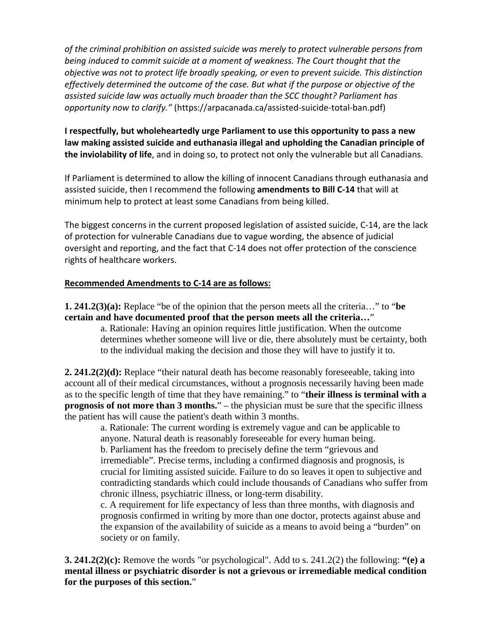*of the criminal prohibition on assisted suicide was merely to protect vulnerable persons from being induced to commit suicide at a moment of weakness. The Court thought that the objective was not to protect life broadly speaking, or even to prevent suicide. This distinction effectively determined the outcome of the case. But what if the purpose or objective of the assisted suicide law was actually much broader than the SCC thought? Parliament has opportunity now to clarify."* (https://arpacanada.ca/assisted-suicide-total-ban.pdf)

**I respectfully, but wholeheartedly urge Parliament to use this opportunity to pass a new law making assisted suicide and euthanasia illegal and upholding the Canadian principle of the inviolability of life**, and in doing so, to protect not only the vulnerable but all Canadians.

If Parliament is determined to allow the killing of innocent Canadians through euthanasia and assisted suicide, then I recommend the following **amendments to Bill C-14** that will at minimum help to protect at least some Canadians from being killed.

The biggest concerns in the current proposed legislation of assisted suicide, C-14, are the lack of protection for vulnerable Canadians due to vague wording, the absence of judicial oversight and reporting, and the fact that C-14 does not offer protection of the conscience rights of healthcare workers.

## **Recommended Amendments to C-14 are as follows:**

**1. 241.2(3)(a):** Replace "be of the opinion that the person meets all the criteria…" to "**be certain and have documented proof that the person meets all the criteria…**"

a. Rationale: Having an opinion requires little justification. When the outcome determines whether someone will live or die, there absolutely must be certainty, both to the individual making the decision and those they will have to justify it to.

**2. 241.2(2)(d):** Replace "their natural death has become reasonably foreseeable, taking into account all of their medical circumstances, without a prognosis necessarily having been made as to the specific length of time that they have remaining." to "**their illness is terminal with a prognosis of not more than 3 months.**" – the physician must be sure that the specific illness the patient has will cause the patient's death within 3 months.

a. Rationale: The current wording is extremely vague and can be applicable to anyone. Natural death is reasonably foreseeable for every human being. b. Parliament has the freedom to precisely define the term "grievous and irremediable". Precise terms, including a confirmed diagnosis and prognosis, is crucial for limiting assisted suicide. Failure to do so leaves it open to subjective and contradicting standards which could include thousands of Canadians who suffer from chronic illness, psychiatric illness, or long-term disability.

c. A requirement for life expectancy of less than three months, with diagnosis and prognosis confirmed in writing by more than one doctor, protects against abuse and the expansion of the availability of suicide as a means to avoid being a "burden" on society or on family.

**3. 241.2(2)(c):** Remove the words "or psychological". Add to s. 241.2(2) the following: **"(e) a mental illness or psychiatric disorder is not a grievous or irremediable medical condition for the purposes of this section.**"